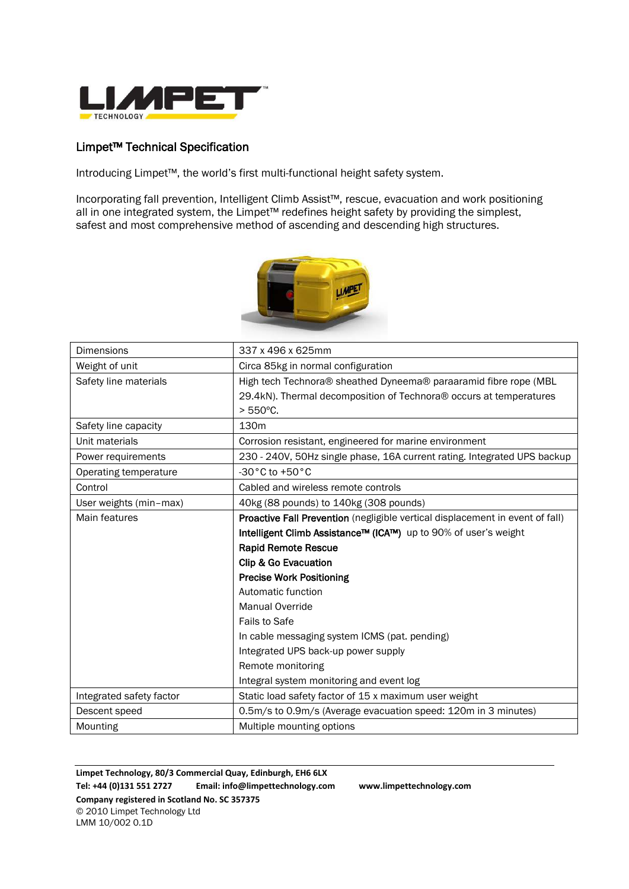

## Limpet™ Technical Specification

Introducing Limpet™, the world's first multi-functional height safety system.

Incorporating fall prevention, Intelligent Climb Assist™, rescue, evacuation and work positioning all in one integrated system, the Limpet™ redefines height safety by providing the simplest, safest and most comprehensive method of ascending and descending high structures.



| <b>Dimensions</b>        | 337 x 496 x 625mm                                                             |
|--------------------------|-------------------------------------------------------------------------------|
| Weight of unit           | Circa 85kg in normal configuration                                            |
| Safety line materials    | High tech Technora® sheathed Dyneema® paraaramid fibre rope (MBL              |
|                          | 29.4kN). Thermal decomposition of Technora® occurs at temperatures            |
|                          | $> 550^{\circ}$ C.                                                            |
| Safety line capacity     | 130m                                                                          |
| Unit materials           | Corrosion resistant, engineered for marine environment                        |
| Power requirements       | 230 - 240V, 50Hz single phase, 16A current rating. Integrated UPS backup      |
| Operating temperature    | -30°C to +50°C                                                                |
| Control                  | Cabled and wireless remote controls                                           |
| User weights (min-max)   | 40kg (88 pounds) to 140kg (308 pounds)                                        |
| Main features            | Proactive Fall Prevention (negligible vertical displacement in event of fall) |
|                          | Intelligent Climb Assistance™ (ICA™) up to 90% of user's weight               |
|                          | <b>Rapid Remote Rescue</b>                                                    |
|                          | Clip & Go Evacuation                                                          |
|                          | <b>Precise Work Positioning</b>                                               |
|                          | Automatic function                                                            |
|                          | Manual Override                                                               |
|                          | Fails to Safe                                                                 |
|                          | In cable messaging system ICMS (pat. pending)                                 |
|                          | Integrated UPS back-up power supply                                           |
|                          | Remote monitoring                                                             |
|                          | Integral system monitoring and event log                                      |
| Integrated safety factor | Static load safety factor of 15 x maximum user weight                         |
| Descent speed            | 0.5m/s to 0.9m/s (Average evacuation speed: 120m in 3 minutes)                |
| Mounting                 | Multiple mounting options                                                     |